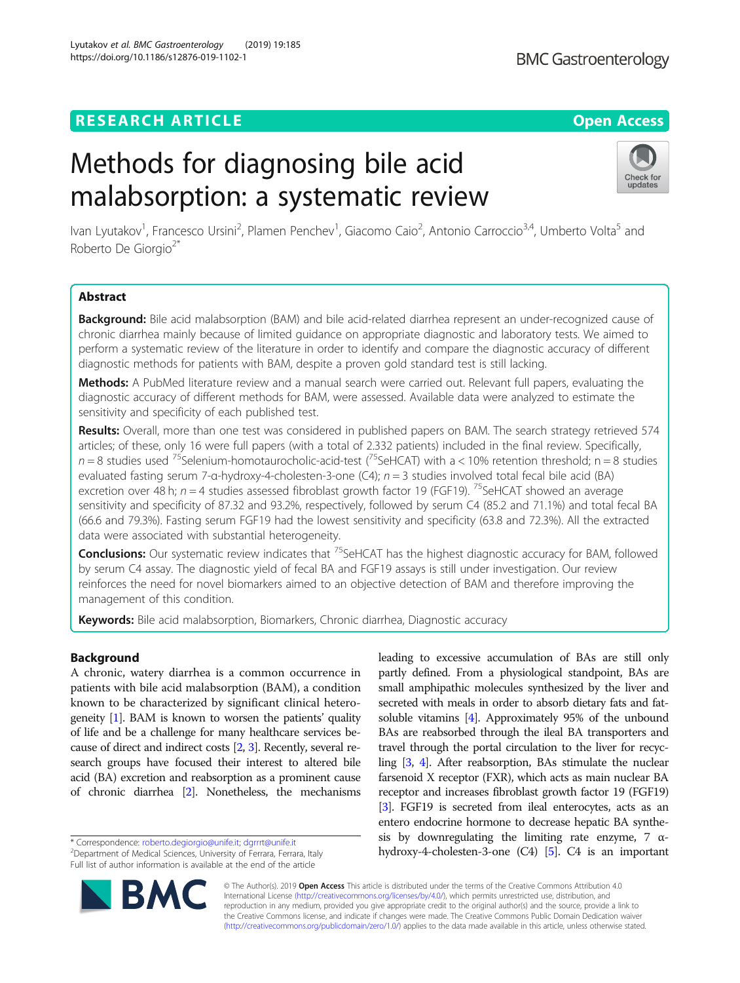# **RESEARCH ARTICLE Example 2014 CONSIDERING A RESEARCH ARTICLE**

# Methods for diagnosing bile acid malabsorption: a systematic review

Ivan Lyutakov<sup>1</sup>, Francesco Ursini<sup>2</sup>, Plamen Penchev<sup>1</sup>, Giacomo Caio<sup>2</sup>, Antonio Carroccio<sup>3,4</sup>, Umberto Volta<sup>5</sup> and Roberto De Giorgio<sup>2\*</sup>

# Abstract

Background: Bile acid malabsorption (BAM) and bile acid-related diarrhea represent an under-recognized cause of chronic diarrhea mainly because of limited guidance on appropriate diagnostic and laboratory tests. We aimed to perform a systematic review of the literature in order to identify and compare the diagnostic accuracy of different diagnostic methods for patients with BAM, despite a proven gold standard test is still lacking.

Methods: A PubMed literature review and a manual search were carried out. Relevant full papers, evaluating the diagnostic accuracy of different methods for BAM, were assessed. Available data were analyzed to estimate the sensitivity and specificity of each published test.

Results: Overall, more than one test was considered in published papers on BAM. The search strategy retrieved 574 articles; of these, only 16 were full papers (with a total of 2.332 patients) included in the final review. Specifically,  $n = 8$  studies used <sup>75</sup>Selenium-homotaurocholic-acid-test (<sup>75</sup>SeHCAT) with a < 10% retention threshold; n = 8 studies evaluated fasting serum 7-a-hydroxy-4-cholesten-3-one (C4);  $n = 3$  studies involved total fecal bile acid (BA) excretion over 48 h;  $n = 4$  studies assessed fibroblast growth factor 19 (FGF19). <sup>75</sup>SeHCAT showed an average sensitivity and specificity of 87.32 and 93.2%, respectively, followed by serum C4 (85.2 and 71.1%) and total fecal BA (66.6 and 79.3%). Fasting serum FGF19 had the lowest sensitivity and specificity (63.8 and 72.3%). All the extracted data were associated with substantial heterogeneity.

**Conclusions:** Our systematic review indicates that <sup>75</sup>SeHCAT has the highest diagnostic accuracy for BAM, followed by serum C4 assay. The diagnostic yield of fecal BA and FGF19 assays is still under investigation. Our review reinforces the need for novel biomarkers aimed to an objective detection of BAM and therefore improving the management of this condition.

Keywords: Bile acid malabsorption, Biomarkers, Chronic diarrhea, Diagnostic accuracy

# Background

A chronic, watery diarrhea is a common occurrence in patients with bile acid malabsorption (BAM), a condition known to be characterized by significant clinical heterogeneity [\[1\]](#page-9-0). BAM is known to worsen the patients' quality of life and be a challenge for many healthcare services because of direct and indirect costs [[2](#page-10-0), [3\]](#page-10-0). Recently, several research groups have focused their interest to altered bile acid (BA) excretion and reabsorption as a prominent cause of chronic diarrhea [[2](#page-10-0)]. Nonetheless, the mechanisms

\* Correspondence: [roberto.degiorgio@unife.it;](mailto:roberto.degiorgio@unife.it) [dgrrrt@unife.it](mailto:dgrrrt@unife.it) <sup>2</sup>

<sup>2</sup>Department of Medical Sciences, University of Ferrara, Ferrara, Italy

Full list of author information is available at the end of the article

© The Author(s). 2019 **Open Access** This article is distributed under the terms of the Creative Commons Attribution 4.0 International License [\(http://creativecommons.org/licenses/by/4.0/](http://creativecommons.org/licenses/by/4.0/)), which permits unrestricted use, distribution, and reproduction in any medium, provided you give appropriate credit to the original author(s) and the source, provide a link to the Creative Commons license, and indicate if changes were made. The Creative Commons Public Domain Dedication waiver [\(http://creativecommons.org/publicdomain/zero/1.0/](http://creativecommons.org/publicdomain/zero/1.0/)) applies to the data made available in this article, unless otherwise stated.

secreted with meals in order to absorb dietary fats and fatsoluble vitamins [\[4\]](#page-10-0). Approximately 95% of the unbound BAs are reabsorbed through the ileal BA transporters and travel through the portal circulation to the liver for recycling [[3](#page-10-0), [4](#page-10-0)]. After reabsorption, BAs stimulate the nuclear farsenoid X receptor (FXR), which acts as main nuclear BA receptor and increases fibroblast growth factor 19 (FGF19) [[3](#page-10-0)]. FGF19 is secreted from ileal enterocytes, acts as an entero endocrine hormone to decrease hepatic BA synthesis by downregulating the limiting rate enzyme,  $7 \alpha$ hydroxy-4-cholesten-3-one (C4) [\[5](#page-10-0)]. C4 is an important

leading to excessive accumulation of BAs are still only partly defined. From a physiological standpoint, BAs are small amphipathic molecules synthesized by the liver and





update:

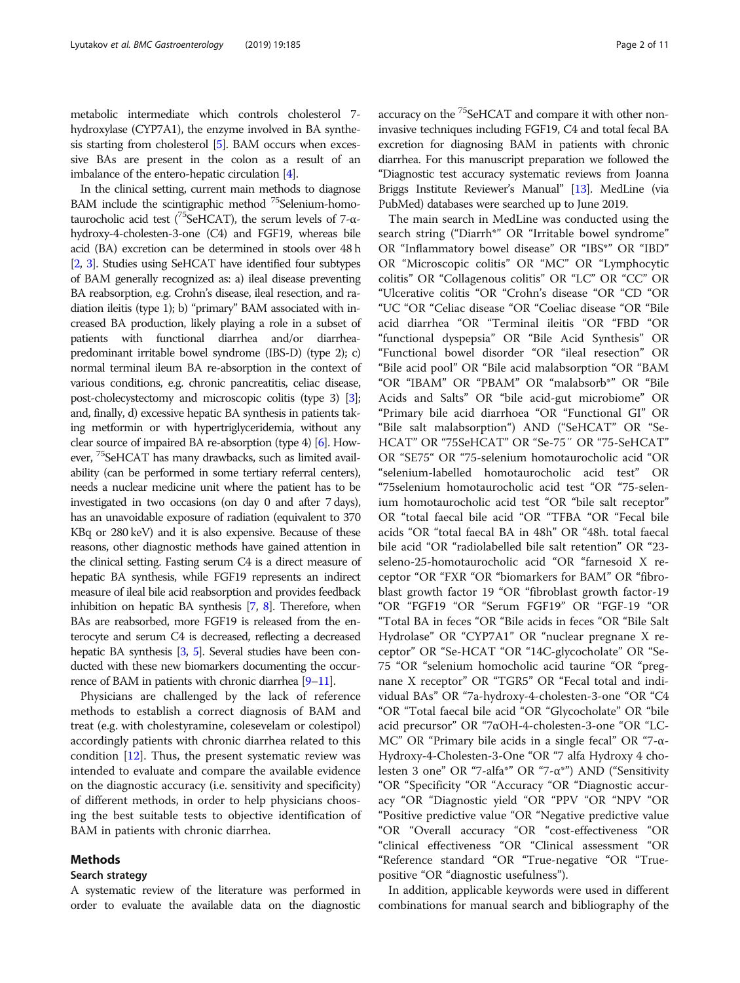metabolic intermediate which controls cholesterol 7 hydroxylase (CYP7A1), the enzyme involved in BA synthesis starting from cholesterol [\[5\]](#page-10-0). BAM occurs when excessive BAs are present in the colon as a result of an imbalance of the entero-hepatic circulation [[4](#page-10-0)].

In the clinical setting, current main methods to diagnose BAM include the scintigraphic method <sup>75</sup>Selenium-homotaurocholic acid test (<sup>75</sup>SeHCAT), the serum levels of 7-αhydroxy-4-cholesten-3-one (C4) and FGF19, whereas bile acid (BA) excretion can be determined in stools over 48 h [[2](#page-10-0), [3](#page-10-0)]. Studies using SeHCAT have identified four subtypes of BAM generally recognized as: a) ileal disease preventing BA reabsorption, e.g. Crohn's disease, ileal resection, and radiation ileitis (type 1); b) "primary" BAM associated with increased BA production, likely playing a role in a subset of patients with functional diarrhea and/or diarrheapredominant irritable bowel syndrome (IBS-D) (type 2); c) normal terminal ileum BA re-absorption in the context of various conditions, e.g. chronic pancreatitis, celiac disease, post-cholecystectomy and microscopic colitis (type 3) [\[3](#page-10-0)]; and, finally, d) excessive hepatic BA synthesis in patients taking metformin or with hypertriglyceridemia, without any clear source of impaired BA re-absorption (type 4) [\[6\]](#page-10-0). However, <sup>75</sup>SeHCAT has many drawbacks, such as limited availability (can be performed in some tertiary referral centers), needs a nuclear medicine unit where the patient has to be investigated in two occasions (on day 0 and after 7 days), has an unavoidable exposure of radiation (equivalent to 370 KBq or 280 keV) and it is also expensive. Because of these reasons, other diagnostic methods have gained attention in the clinical setting. Fasting serum C4 is a direct measure of hepatic BA synthesis, while FGF19 represents an indirect measure of ileal bile acid reabsorption and provides feedback inhibition on hepatic BA synthesis [\[7,](#page-10-0) [8](#page-10-0)]. Therefore, when BAs are reabsorbed, more FGF19 is released from the enterocyte and serum C4 is decreased, reflecting a decreased hepatic BA synthesis [\[3,](#page-10-0) [5\]](#page-10-0). Several studies have been conducted with these new biomarkers documenting the occurrence of BAM in patients with chronic diarrhea [[9](#page-10-0)–[11](#page-10-0)].

Physicians are challenged by the lack of reference methods to establish a correct diagnosis of BAM and treat (e.g. with cholestyramine, colesevelam or colestipol) accordingly patients with chronic diarrhea related to this condition  $[12]$  $[12]$  $[12]$ . Thus, the present systematic review was intended to evaluate and compare the available evidence on the diagnostic accuracy (i.e. sensitivity and specificity) of different methods, in order to help physicians choosing the best suitable tests to objective identification of BAM in patients with chronic diarrhea.

### Methods

### Search strategy

A systematic review of the literature was performed in order to evaluate the available data on the diagnostic accuracy on the 75SeHCAT and compare it with other noninvasive techniques including FGF19, C4 and total fecal BA excretion for diagnosing BAM in patients with chronic diarrhea. For this manuscript preparation we followed the "Diagnostic test accuracy systematic reviews from Joanna Briggs Institute Reviewer's Manual" [[13](#page-10-0)]. MedLine (via PubMed) databases were searched up to June 2019.

The main search in MedLine was conducted using the search string ("Diarrh\*" OR "Irritable bowel syndrome" OR "Inflammatory bowel disease" OR "IBS\*" OR "IBD" OR "Microscopic colitis" OR "MC" OR "Lymphocytic colitis" OR "Collagenous colitis" OR "LC" OR "CC" OR "Ulcerative colitis "OR "Crohn's disease "OR "CD "OR "UC "OR "Celiac disease "OR "Coeliac disease "OR "Bile acid diarrhea "OR "Terminal ileitis "OR "FBD "OR "functional dyspepsia" OR "Bile Acid Synthesis" OR "Functional bowel disorder "OR "ileal resection" OR "Bile acid pool" OR "Bile acid malabsorption "OR "BAM "OR "IBAM" OR "PBAM" OR "malabsorb\*" OR "Bile Acids and Salts" OR "bile acid-gut microbiome" OR "Primary bile acid diarrhoea "OR "Functional GI" OR "Bile salt malabsorption") AND ("SeHCAT" OR "Se-HCAT" OR "75SeHCAT" OR "Se-75″ OR "75-SeHCAT" OR "SE75" OR "75-selenium homotaurocholic acid "OR "selenium-labelled homotaurocholic acid test" OR "75selenium homotaurocholic acid test "OR "75-selenium homotaurocholic acid test "OR "bile salt receptor" OR "total faecal bile acid "OR "TFBA "OR "Fecal bile acids "OR "total faecal BA in 48h" OR "48h. total faecal bile acid "OR "radiolabelled bile salt retention" OR "23 seleno-25-homotaurocholic acid "OR "farnesoid X receptor "OR "FXR "OR "biomarkers for BAM" OR "fibroblast growth factor 19 "OR "fibroblast growth factor-19 "OR "FGF19 "OR "Serum FGF19" OR "FGF-19 "OR "Total BA in feces "OR "Bile acids in feces "OR "Bile Salt Hydrolase" OR "CYP7A1" OR "nuclear pregnane X receptor" OR "Se-HCAT "OR "14C-glycocholate" OR "Se-75 "OR "selenium homocholic acid taurine "OR "pregnane X receptor" OR "TGR5" OR "Fecal total and individual BAs" OR "7a-hydroxy-4-cholesten-3-one "OR "C4 "OR "Total faecal bile acid "OR "Glycocholate" OR "bile acid precursor" OR "7αOH-4-cholesten-3-one "OR "LC-MC" OR "Primary bile acids in a single fecal" OR "7-α-Hydroxy-4-Cholesten-3-One "OR "7 alfa Hydroxy 4 cholesten 3 one" OR "7-alfa\*" OR "7-α\*") AND ("Sensitivity "OR "Specificity "OR "Accuracy "OR "Diagnostic accuracy "OR "Diagnostic yield "OR "PPV "OR "NPV "OR "Positive predictive value "OR "Negative predictive value "OR "Overall accuracy "OR "cost-effectiveness "OR "clinical effectiveness "OR "Clinical assessment "OR "Reference standard "OR "True-negative "OR "Truepositive "OR "diagnostic usefulness").

In addition, applicable keywords were used in different combinations for manual search and bibliography of the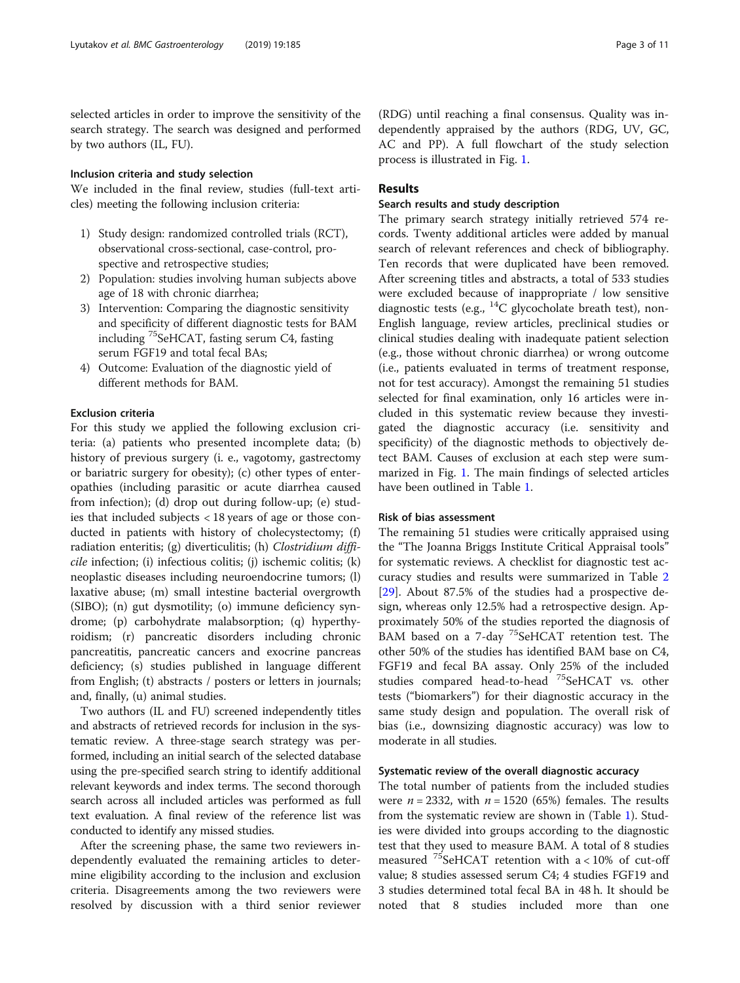selected articles in order to improve the sensitivity of the search strategy. The search was designed and performed by two authors (IL, FU).

# Inclusion criteria and study selection

We included in the final review, studies (full-text articles) meeting the following inclusion criteria:

- 1) Study design: randomized controlled trials (RCT), observational cross-sectional, case-control, prospective and retrospective studies;
- 2) Population: studies involving human subjects above age of 18 with chronic diarrhea;
- 3) Intervention: Comparing the diagnostic sensitivity and specificity of different diagnostic tests for BAM including 75SeHCAT, fasting serum C4, fasting serum FGF19 and total fecal BAs;
- 4) Outcome: Evaluation of the diagnostic yield of different methods for BAM.

# Exclusion criteria

For this study we applied the following exclusion criteria: (a) patients who presented incomplete data; (b) history of previous surgery (i. e., vagotomy, gastrectomy or bariatric surgery for obesity); (c) other types of enteropathies (including parasitic or acute diarrhea caused from infection); (d) drop out during follow-up; (e) studies that included subjects < 18 years of age or those conducted in patients with history of cholecystectomy; (f) radiation enteritis; (g) diverticulitis; (h) Clostridium difficile infection; (i) infectious colitis; (j) ischemic colitis; (k) neoplastic diseases including neuroendocrine tumors; (l) laxative abuse; (m) small intestine bacterial overgrowth (SIBO); (n) gut dysmotility; (o) immune deficiency syndrome; (p) carbohydrate malabsorption; (q) hyperthyroidism; (r) pancreatic disorders including chronic pancreatitis, pancreatic cancers and exocrine pancreas deficiency; (s) studies published in language different from English; (t) abstracts / posters or letters in journals; and, finally, (u) animal studies.

Two authors (IL and FU) screened independently titles and abstracts of retrieved records for inclusion in the systematic review. A three-stage search strategy was performed, including an initial search of the selected database using the pre-specified search string to identify additional relevant keywords and index terms. The second thorough search across all included articles was performed as full text evaluation. A final review of the reference list was conducted to identify any missed studies.

After the screening phase, the same two reviewers independently evaluated the remaining articles to determine eligibility according to the inclusion and exclusion criteria. Disagreements among the two reviewers were resolved by discussion with a third senior reviewer

(RDG) until reaching a final consensus. Quality was independently appraised by the authors (RDG, UV, GC, AC and PP). A full flowchart of the study selection process is illustrated in Fig. [1](#page-3-0).

# Results

# Search results and study description

The primary search strategy initially retrieved 574 records. Twenty additional articles were added by manual search of relevant references and check of bibliography. Ten records that were duplicated have been removed. After screening titles and abstracts, a total of 533 studies were excluded because of inappropriate / low sensitive diagnostic tests (e.g.,  $^{14}$ C glycocholate breath test), non-English language, review articles, preclinical studies or clinical studies dealing with inadequate patient selection (e.g., those without chronic diarrhea) or wrong outcome (i.e., patients evaluated in terms of treatment response, not for test accuracy). Amongst the remaining 51 studies selected for final examination, only 16 articles were included in this systematic review because they investigated the diagnostic accuracy (i.e. sensitivity and specificity) of the diagnostic methods to objectively detect BAM. Causes of exclusion at each step were summarized in Fig. [1.](#page-3-0) The main findings of selected articles have been outlined in Table [1](#page-4-0).

### Risk of bias assessment

The remaining 51 studies were critically appraised using the "The Joanna Briggs Institute Critical Appraisal tools" for systematic reviews. A checklist for diagnostic test accuracy studies and results were summarized in Table [2](#page-6-0) [[29\]](#page-10-0). About 87.5% of the studies had a prospective design, whereas only 12.5% had a retrospective design. Approximately 50% of the studies reported the diagnosis of BAM based on a 7-day <sup>75</sup>SeHCAT retention test. The other 50% of the studies has identified BAM base on C4, FGF19 and fecal BA assay. Only 25% of the included studies compared head-to-head <sup>75</sup>SeHCAT vs. other tests ("biomarkers") for their diagnostic accuracy in the same study design and population. The overall risk of bias (i.e., downsizing diagnostic accuracy) was low to moderate in all studies.

### Systematic review of the overall diagnostic accuracy

The total number of patients from the included studies were  $n = 2332$ , with  $n = 1520$  (65%) females. The results from the systematic review are shown in (Table [1\)](#page-4-0). Studies were divided into groups according to the diagnostic test that they used to measure BAM. A total of 8 studies measured  $^{75}$ SeHCAT retention with a < 10% of cut-off value; 8 studies assessed serum C4; 4 studies FGF19 and 3 studies determined total fecal BA in 48 h. It should be noted that 8 studies included more than one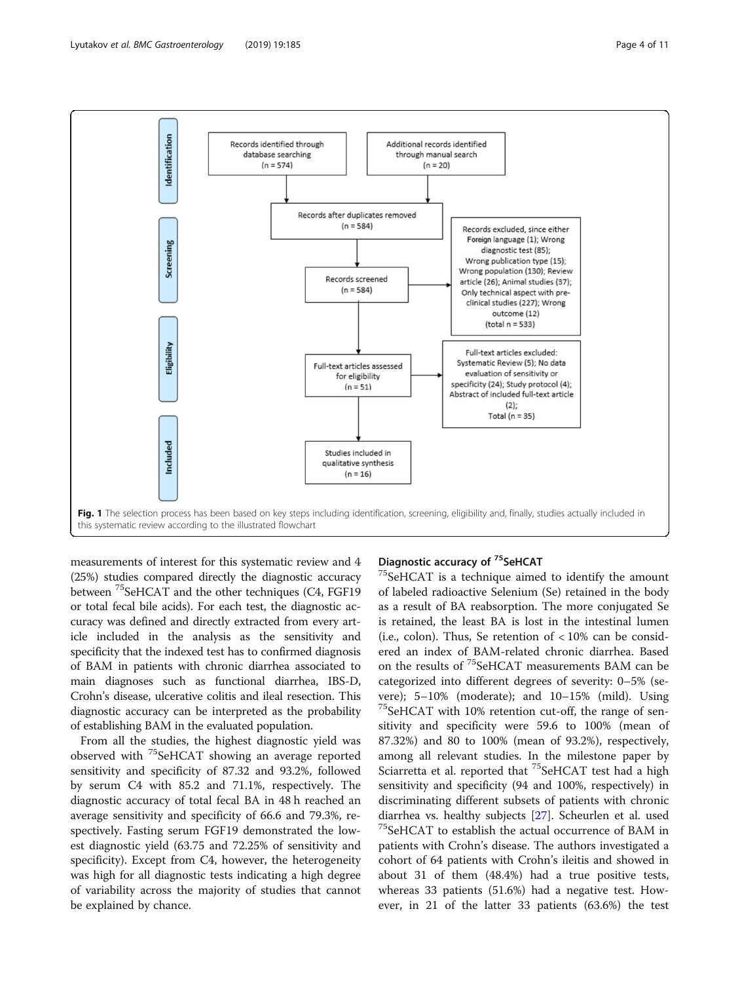<span id="page-3-0"></span>

measurements of interest for this systematic review and 4 (25%) studies compared directly the diagnostic accuracy between <sup>75</sup>SeHCAT and the other techniques (C4, FGF19 or total fecal bile acids). For each test, the diagnostic accuracy was defined and directly extracted from every article included in the analysis as the sensitivity and specificity that the indexed test has to confirmed diagnosis of BAM in patients with chronic diarrhea associated to main diagnoses such as functional diarrhea, IBS-D, Crohn's disease, ulcerative colitis and ileal resection. This diagnostic accuracy can be interpreted as the probability of establishing BAM in the evaluated population.

From all the studies, the highest diagnostic yield was observed with 75SeHCAT showing an average reported sensitivity and specificity of 87.32 and 93.2%, followed by serum C4 with 85.2 and 71.1%, respectively. The diagnostic accuracy of total fecal BA in 48 h reached an average sensitivity and specificity of 66.6 and 79.3%, respectively. Fasting serum FGF19 demonstrated the lowest diagnostic yield (63.75 and 72.25% of sensitivity and specificity). Except from C4, however, the heterogeneity was high for all diagnostic tests indicating a high degree of variability across the majority of studies that cannot be explained by chance.

# Diagnostic accuracy of <sup>75</sup>SeHCAT

75SeHCAT is a technique aimed to identify the amount of labeled radioactive Selenium (Se) retained in the body as a result of BA reabsorption. The more conjugated Se is retained, the least BA is lost in the intestinal lumen (i.e., colon). Thus, Se retention of  $< 10\%$  can be considered an index of BAM-related chronic diarrhea. Based on the results of <sup>75</sup>SeHCAT measurements BAM can be categorized into different degrees of severity: 0–5% (severe); 5–10% (moderate); and  $10-15%$  (mild). Using  $^{75}$ SeHCAT with 10% retention cut-off, the range of sensitivity and specificity were 59.6 to 100% (mean of 87.32%) and 80 to 100% (mean of 93.2%), respectively, among all relevant studies. In the milestone paper by Sciarretta et al. reported that <sup>75</sup>SeHCAT test had a high sensitivity and specificity (94 and 100%, respectively) in discriminating different subsets of patients with chronic diarrhea vs. healthy subjects [[27\]](#page-10-0). Scheurlen et al. used <sup>75</sup>SeHCAT to establish the actual occurrence of BAM in patients with Crohn's disease. The authors investigated a cohort of 64 patients with Crohn's ileitis and showed in about 31 of them (48.4%) had a true positive tests, whereas 33 patients (51.6%) had a negative test. However, in 21 of the latter 33 patients (63.6%) the test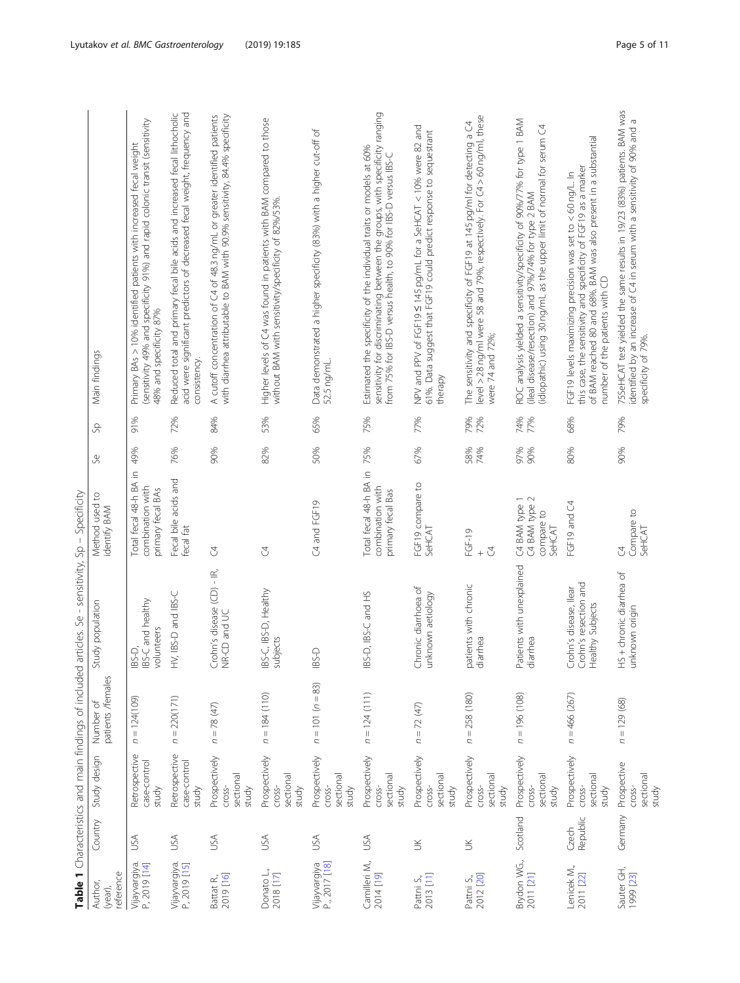<span id="page-4-0"></span>

|                                 |                   |                                               |                                  | Table 1 Characteristics and main findings of included articles. Se - sensitivity, Sp - Specificity |                                                                 |            |            |                                                                                                                                                                                                                                    |
|---------------------------------|-------------------|-----------------------------------------------|----------------------------------|----------------------------------------------------------------------------------------------------|-----------------------------------------------------------------|------------|------------|------------------------------------------------------------------------------------------------------------------------------------------------------------------------------------------------------------------------------------|
| reference<br>Author,<br>(year), | Country           | Study design                                  | patients /females<br>ð<br>Number | Study population                                                                                   | $\overline{c}$<br>Method used<br>identify BAM                   | Se         | Sp         | Main findings                                                                                                                                                                                                                      |
| Vijayvargiya.<br>P, 2019 [14]   | USA               | Retrospective<br>case-control<br>study        | $n = 124(109)$                   | BS-C and healthy<br>volunteers<br>IBS-D,                                                           | Total fecal 48-h BA in<br>combination with<br>primary fecal BAs | 49%        | 91%        | (sensitivity 49% and specificity 91%) and rapid colonic transit (sensitivity<br>Primary BAs > 10% identified patients with increased fecal weight<br>48% and specificity 87%                                                       |
| Vijayvargiya.<br>P, 2019 [15]   | USA               | Retrospective<br>case-control<br>study        | $n = 220(171)$                   | HV, IBS-D and IBS-C                                                                                | Fecal bile acids and<br>fecal fat                               | 76%        | 72%        | acid were significant predictors of decreased fecal weight, frequency and<br>Reduced total and primary fecal bile acids and increased fecal lithocholic<br>consistency.                                                            |
| Battat R.,<br>2019 [16]         | USA               | Prospectively<br>sectional<br>study<br>Cross- | $n = 78(47)$                     | Crohn's disease (CD) - IR,<br>NR-CD and UC                                                         | $\mathcal{L}$                                                   | 90%        | 84%        | with diarrhea attributable to BAM with 90.9% sensitivity, 84.4% specificity<br>A cutoff concentration of C4 of 48.3 ng/mL or greater identified patients                                                                           |
| Donato L.,<br>2018 [17]         | USA               | Prospectively<br>sectional<br>Cross-<br>study | $n = 184(110)$                   | BS-C, IBS-D, Healthy<br>subjects                                                                   | $\mathcal{L}$                                                   | 82%        | 53%        | Higher levels of C4 was found in patients with BAM compared to those<br>without BAM with sensitivity/specificity of 82%/53%                                                                                                        |
| Vijayvargiya<br>P., 2017 [18]   | JSA               | Prospectively<br>sectional<br>Cross-<br>study | $n = 101 (n = 83)$               | <b>IBS-D</b>                                                                                       | C4 and FGF19                                                    | 50%        | 65%        | Data demonstrated a higher specificity (83%) with a higher cut-off of<br>52.5 ng/mL                                                                                                                                                |
| Camilleri M.,<br>2014 [19]      | USA               | Prospectively<br>sectional<br>cross-<br>study | $n = 124(111)$                   | BS-D, IBS-C and HS                                                                                 | Total fecal 48-h BA in<br>combination with<br>primary fecal Bas | 75%        | 75%        | sensitivity for discriminating between the groups, with specificity ranging<br>Estimated the specificity of the individual traits or models at 60%<br>from 75% for IBS-D versus health, to 90% for IBS-D versus IBS-C              |
| 2013 [11]<br>Pattni S.,         | $\leq$            | Prospectively<br>sectional<br>study<br>Cross- | $n = 72(47)$                     | Chronic diarrhoea of<br>unknown aetiology                                                          | FGF19 compare to<br>SeHCAT                                      | 67%        | 77%        | NPV and PPV of FGF19 ≤ 145 pg/mL for a SeHCAT < 10% were 82 and<br>61%. Data suggest that FGF19 could predict response to sequestrant<br>therapy                                                                                   |
| 2012 [20]<br>Pattni S.,         | š                 | Prospectively<br>sectional<br>Cross-<br>study | $n = 258(180)$                   | patients with chronic<br>diarrhea                                                                  | FGF-19<br>$\tilde{c}$<br>$^{+}$                                 | 58%<br>74% | 79%<br>72% | evel > 28 ng/ml were 58 and 79%, respectively. For C4 > 60 ng/ml, these<br>The sensitivity and specificity of FGF19 at 145 pg/ml for detecting a C4<br>were 74 and 72%;                                                            |
| Brydon WG.,<br>2011 [21]        | Scotland          | Prospectively<br>sectional<br>Cross-<br>study | $n = 196(108)$                   | Patients with unexplained<br>diarrhea                                                              | $\sim$<br>C4 BAM type 1<br>C4 BAM type<br>compare to<br>SeHCAT  | 97%<br>90% | 74%<br>77% | ROC analysis yielded a sensitivity/specificity of 90%/77% for type 1 BAM<br>(idiopathic) using 30 ng/mL as the upper limit of normal for serum C4<br>(ileal disease/resection) and 97%/74% for type 2 BAM                          |
| Lenicek M.,<br>2011 [22]        | Republic<br>Czech | Prospectively<br>sectional<br>Cross-<br>study | $n = 466 (267)$                  | Crohn's resection and<br>Crohn's disease, llear<br>Healthy Subjects                                | FGF19 and C4                                                    | 80%        | 68%        | of BAM reached 80 and 68%. BAM was also present in a substantial<br>this case, the sensitivity and specificity of FGF19 as a marker<br>FGF19 levels maximizing precision was set to <60 ng/L. In<br>number of the patients with CD |
| Sauter GH,<br>1999 [23]         | Germany           | Prospective<br>sectional<br>Cross-<br>study   | $n = 129(68)$                    | HS + chronic diarrhea of<br>unknown origin                                                         | Compare to<br>SeHCAT<br>J                                       | 90%        | 79%        | 75SeHCAT test yielded the same results in 19/23 (83%) patients. BAM was<br>identified by an increase of C4 in serum with a sensitivity of 90% and a<br>specificity of 79%.                                                         |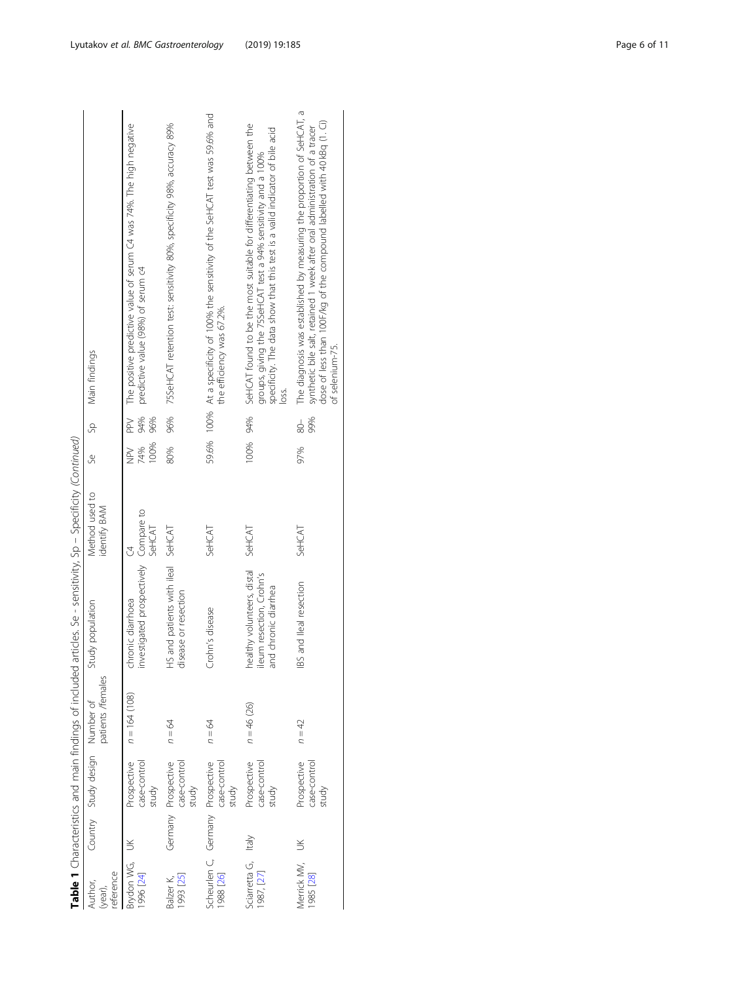|                                   |                                                           |                   | Table 1 Characteristics and main findings of included articles. Se - sensitivity, Sp - Specificity (Continued) |                                |                       |                      |                                                                                                                                                                                                                                                   |
|-----------------------------------|-----------------------------------------------------------|-------------------|----------------------------------------------------------------------------------------------------------------|--------------------------------|-----------------------|----------------------|---------------------------------------------------------------------------------------------------------------------------------------------------------------------------------------------------------------------------------------------------|
| eterence<br>Author,<br>(year),    | Country Study design Number of                            | patients /females | Study population                                                                                               | Method used to<br>identify BAM | Se                    | Sp                   | Main findings                                                                                                                                                                                                                                     |
| Brydon WG, UK<br>1996 [24]        | case-control<br>Prospective<br>study                      | $n = 164(108)$    | investigated prospectively Compare to<br>chronic diarrhoea                                                     | SeHCAT                         | 100%<br>74%<br>$\geq$ | 94%<br>96%<br>$\geq$ | The positive predictive value of serum C4 was 74%. The high negative<br>predictive value (98%) of serum c4                                                                                                                                        |
| 1993 [25]<br>Balzer <sub>K</sub>  | case-control<br>Germany Prospective<br>study              | $n = 64$          | and patients with ileal SeHCAT<br>HS and patients with<br>disease or resection                                 |                                | 80%                   | 96%                  | 75SeHCAT retention test: sensitivity 80%, specificity 98%, accuracy 89%                                                                                                                                                                           |
| 1988 [26]                         | case-control<br>Scheurlen C, Germany Prospective<br>study | $v = 64$          | Crohn's disease                                                                                                | SeHCAT                         |                       |                      | 59.6% 100% At a specificity of 100% the sensitivity of the SeHCAT test was 59.6% and<br>the efficiency was 67.2%.                                                                                                                                 |
| Sciarretta G, Italy<br>1987, [27] | Prospective<br>case-control<br>study                      | $n = 46 (26)$     | healthy volunteers, distal<br>ileum resection, Crohn's<br>and chronic diarrhea                                 | SeHCAT                         | 100%                  | 94%                  | SeHCAT found to be the most suitable for differentiating between the<br>specificity. The data show that this test is a valid indicator of bile acid<br>groups, giving the 75SeHCAT test a 94% sensitivity and a 100%<br>loss.                     |
| Merrick MV, UK<br>1985 [28]       | Prospective<br>case-control<br>study                      | $n = 42$          | IBS and Ileal resection                                                                                        | SeHCAT                         | 97%                   | 99%<br>$rac{1}{80}$  | The diagnosis was established by measuring the proportion of SeHCAT, a<br>dose of less than 100F/kg of the compound labelled with 40 kBq (1. Ci)<br>synthetic bile salt, retained 1 week after oral administration of a tracer<br>of selenium-75. |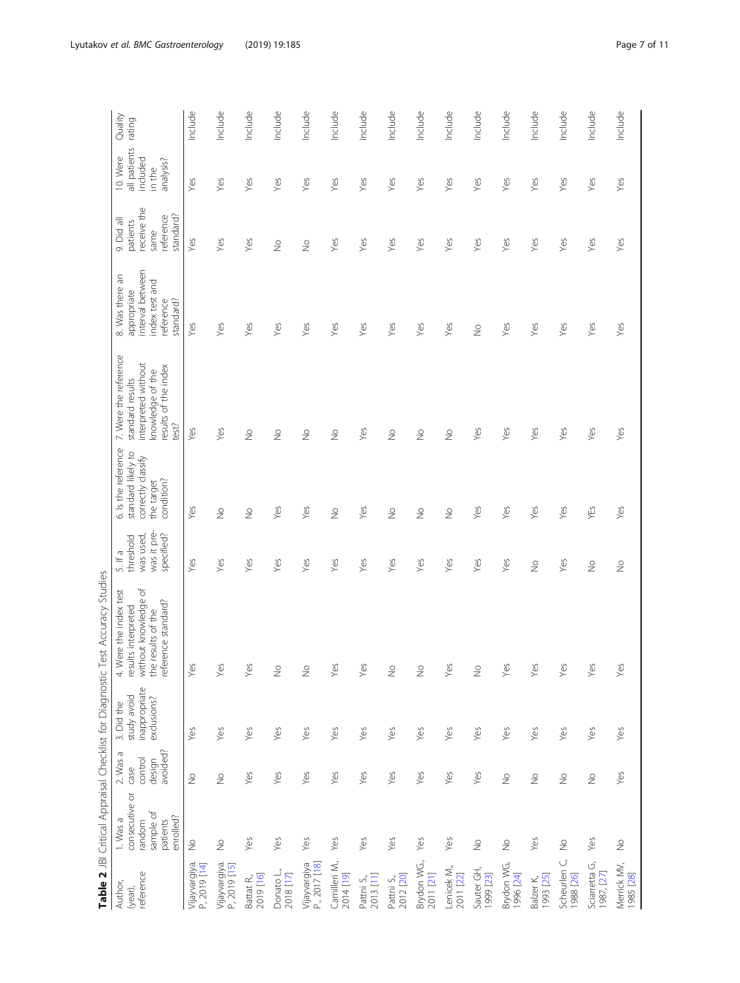<span id="page-6-0"></span>

| reference<br>Author,<br>(year), | consecutive or<br>sample of<br>enrolled?<br>1. Was a<br>patients<br>random | avoided?<br>2. Was a<br>control<br>design<br>case | inappropriate<br>biove <i>K</i> puts<br>exclusions?<br>3. Did the | without knowledge of<br>4. Were the index test<br>reference standard?<br>results interpreted<br>the results of the | was it pre-<br>was used,<br>specified?<br>threshold<br>5. If a | 6. Is the reference<br>standard likely to<br>correctly classify<br>condition?<br>the target | 7. Were the reference<br>interpreted without<br>results of the index<br>knowledge of the<br>standard results<br>test? | interval between<br>8. Was there an<br>index test and<br>appropriate<br>reference<br>standard? | receive the<br>standard?<br>reference<br>9. Did all<br>patients<br>same | all patients<br>10. Were<br>included<br>analysis?<br>in the | Quality<br>rating |
|---------------------------------|----------------------------------------------------------------------------|---------------------------------------------------|-------------------------------------------------------------------|--------------------------------------------------------------------------------------------------------------------|----------------------------------------------------------------|---------------------------------------------------------------------------------------------|-----------------------------------------------------------------------------------------------------------------------|------------------------------------------------------------------------------------------------|-------------------------------------------------------------------------|-------------------------------------------------------------|-------------------|
| Vijayvargiya.<br>P, 2019 [14]   | $\stackrel{\circ}{\geq}$                                                   | $\frac{1}{2}$                                     | Yes                                                               | Yes                                                                                                                | Yes                                                            | Yes                                                                                         | Yes                                                                                                                   | Yes                                                                                            | Yes                                                                     | Yes                                                         | Include           |
| Vijayvargiya.<br>P, 2019 [15]   | $\frac{1}{2}$                                                              | $\frac{1}{2}$                                     | Yes                                                               | Yes                                                                                                                | Yes                                                            | $\frac{1}{2}$                                                                               | Yes                                                                                                                   | Yes                                                                                            | Yes                                                                     | Yes                                                         | Include           |
| Battat R.,<br>2019 [16]         | Yes                                                                        | Yes                                               | Yes                                                               | Yes                                                                                                                | Yes                                                            | $\stackrel{\circ}{\geq}$                                                                    | $\stackrel{\circ}{\geq}$                                                                                              | Yes                                                                                            | Yes                                                                     | Yes                                                         | Include           |
| Donato L.,<br>2018 [17]         | Yes                                                                        | Yes                                               | Yes                                                               | $\frac{1}{2}$                                                                                                      | Yes                                                            | Yes                                                                                         | $\geq$                                                                                                                | Yes                                                                                            | $\geq$                                                                  | Yes                                                         | Include           |
| Vijayvargiya<br>P., 2017 [18]   | Yes                                                                        | Yes                                               | Yes                                                               | $\frac{1}{2}$                                                                                                      | Yes                                                            | Yes                                                                                         | $\geq$                                                                                                                | Yes                                                                                            | $\frac{1}{2}$                                                           | Yes                                                         | Include           |
| Camilleri M.,<br>2014 [19]      | Yes                                                                        | Yes                                               | Yes                                                               | Yes                                                                                                                | Yes                                                            | $\stackrel{\circ}{\geq}$                                                                    | $\geq$                                                                                                                | Yes                                                                                            | Yes                                                                     | Yes                                                         | Include           |
| 2013 [11]<br>Pattni S.,         | Yes                                                                        | Yes                                               | Yes                                                               | Yes                                                                                                                | Yes                                                            | Yes                                                                                         | Yes                                                                                                                   | Yes                                                                                            | Yes                                                                     | Yes                                                         | Include           |
| Pattni S.,<br>2012 [20]         | Yes                                                                        | Yes                                               | Yes                                                               | $\frac{1}{2}$                                                                                                      | Yes                                                            | $\stackrel{\circ}{\geq}$                                                                    | $\geq$                                                                                                                | Yes                                                                                            | Yes                                                                     | Yes                                                         | Include           |
| Brydon WG.,<br>2011 [21]        | Yes                                                                        | Yes                                               | Yes                                                               | $\frac{1}{2}$                                                                                                      | Yes                                                            | $\stackrel{\circ}{\geq}$                                                                    | $\stackrel{\circ}{\geq}$                                                                                              | Yes                                                                                            | Yes                                                                     | Yes                                                         | Include           |
| Lenicek M.,<br>2011 [22]        | Yes                                                                        | Yes                                               | Yes                                                               | Yes                                                                                                                | Yes                                                            | $\stackrel{\circ}{\geq}$                                                                    | $\geq$                                                                                                                | Yes                                                                                            | Yes                                                                     | Yes                                                         | Include           |
| Sauter GH,<br>1999 [23]         | $\frac{\circ}{\geq}$                                                       | Yes                                               | Yes                                                               | $\frac{1}{2}$                                                                                                      | Yes                                                            | Yes                                                                                         | Yes                                                                                                                   | $\stackrel{\circ}{\geq}$                                                                       | Yes                                                                     | Yes                                                         | Include           |
| Brydon WG,<br>1996 [24]         | $\frac{1}{2}$                                                              | $\frac{1}{2}$                                     | Yes                                                               | Yes                                                                                                                | Yes                                                            | Yes                                                                                         | Yes                                                                                                                   | Yes                                                                                            | Yes                                                                     | Yes                                                         | Include           |
| 1993 [25]<br>Balzer K,          | Yes                                                                        | $\stackrel{\circ}{\geq}$                          | Yes                                                               | Yes                                                                                                                | $\geq$                                                         | Yes                                                                                         | Yes                                                                                                                   | Yes                                                                                            | Yes                                                                     | Yes                                                         | Include           |
| Scheurlen C,<br>1988 [26]       | $\frac{0}{2}$                                                              | $\frac{1}{2}$                                     | Yes                                                               | Yes                                                                                                                | Yes                                                            | Yes                                                                                         | Yes                                                                                                                   | Yes                                                                                            | Yes                                                                     | Yes                                                         | Include           |
| Sciarretta G,<br>1987, [27]     | Yes                                                                        | $\frac{1}{2}$                                     | Yes                                                               | Yes                                                                                                                | $\geq$                                                         | YEs                                                                                         | Yes                                                                                                                   | Yes                                                                                            | Yes                                                                     | Yes                                                         | Include           |
| Merrick MV,<br>1985 [28]        | $\frac{1}{2}$                                                              | Yes                                               | Yes                                                               | Yes                                                                                                                | $\frac{1}{2}$                                                  | Yes                                                                                         | Yes                                                                                                                   | Yes                                                                                            | Yes                                                                     | Yes                                                         | Include           |

Table 2 JBI Critical Appraisal Checklist for Diagnostic Test Accuracy Studies **Table 2** JBI Critical Appraisal Checklist for Diagnostic Test Accuracy Studies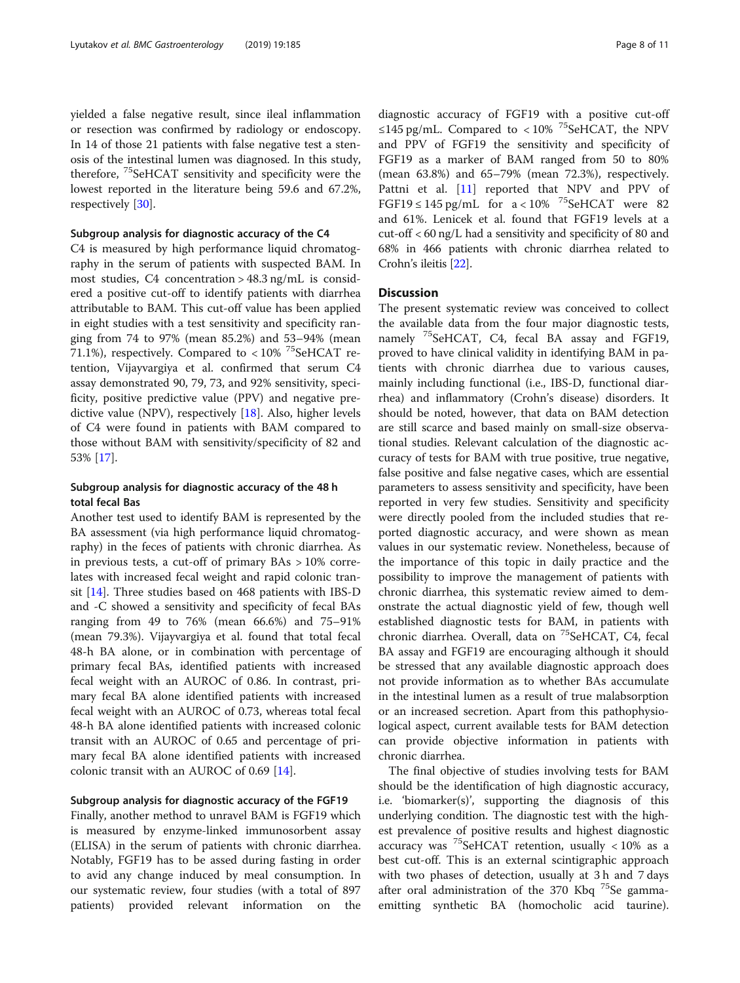yielded a false negative result, since ileal inflammation or resection was confirmed by radiology or endoscopy. In 14 of those 21 patients with false negative test a stenosis of the intestinal lumen was diagnosed. In this study, therefore, 75SeHCAT sensitivity and specificity were the lowest reported in the literature being 59.6 and 67.2%, respectively [\[30](#page-10-0)].

### Subgroup analysis for diagnostic accuracy of the C4

C4 is measured by high performance liquid chromatography in the serum of patients with suspected BAM. In most studies, C4 concentration > 48.3 ng/mL is considered a positive cut-off to identify patients with diarrhea attributable to BAM. This cut-off value has been applied in eight studies with a test sensitivity and specificity ranging from 74 to 97% (mean 85.2%) and 53–94% (mean 71.1%), respectively. Compared to <  $10\%$  <sup>75</sup>SeHCAT retention, Vijayvargiya et al. confirmed that serum C4 assay demonstrated 90, 79, 73, and 92% sensitivity, specificity, positive predictive value (PPV) and negative predictive value (NPV), respectively [[18\]](#page-10-0). Also, higher levels of C4 were found in patients with BAM compared to those without BAM with sensitivity/specificity of 82 and 53% [\[17](#page-10-0)].

# Subgroup analysis for diagnostic accuracy of the 48 h total fecal Bas

Another test used to identify BAM is represented by the BA assessment (via high performance liquid chromatography) in the feces of patients with chronic diarrhea. As in previous tests, a cut-off of primary BAs > 10% correlates with increased fecal weight and rapid colonic transit [[14\]](#page-10-0). Three studies based on 468 patients with IBS-D and -C showed a sensitivity and specificity of fecal BAs ranging from 49 to 76% (mean 66.6%) and 75–91% (mean 79.3%). Vijayvargiya et al. found that total fecal 48-h BA alone, or in combination with percentage of primary fecal BAs, identified patients with increased fecal weight with an AUROC of 0.86. In contrast, primary fecal BA alone identified patients with increased fecal weight with an AUROC of 0.73, whereas total fecal 48-h BA alone identified patients with increased colonic transit with an AUROC of 0.65 and percentage of primary fecal BA alone identified patients with increased colonic transit with an AUROC of 0.69 [\[14](#page-10-0)].

# Subgroup analysis for diagnostic accuracy of the FGF19

Finally, another method to unravel BAM is FGF19 which is measured by enzyme-linked immunosorbent assay (ELISA) in the serum of patients with chronic diarrhea. Notably, FGF19 has to be assed during fasting in order to avid any change induced by meal consumption. In our systematic review, four studies (with a total of 897 patients) provided relevant information on the diagnostic accuracy of FGF19 with a positive cut-off ≤145 pg/mL. Compared to <10% <sup>75</sup>SeHCAT, the NPV and PPV of FGF19 the sensitivity and specificity of FGF19 as a marker of BAM ranged from 50 to 80% (mean 63.8%) and 65–79% (mean 72.3%), respectively. Pattni et al. [[11](#page-10-0)] reported that NPV and PPV of FGF19  $\leq$  145 pg/mL for a  $<$  10%  $^{75}$ SeHCAT were 82 and 61%. Lenicek et al. found that FGF19 levels at a cut-off < 60 ng/L had a sensitivity and specificity of 80 and 68% in 466 patients with chronic diarrhea related to Crohn's ileitis [\[22\]](#page-10-0).

# **Discussion**

The present systematic review was conceived to collect the available data from the four major diagnostic tests, namely <sup>75</sup>SeHCAT, C4, fecal BA assay and FGF19, proved to have clinical validity in identifying BAM in patients with chronic diarrhea due to various causes, mainly including functional (i.e., IBS-D, functional diarrhea) and inflammatory (Crohn's disease) disorders. It should be noted, however, that data on BAM detection are still scarce and based mainly on small-size observational studies. Relevant calculation of the diagnostic accuracy of tests for BAM with true positive, true negative, false positive and false negative cases, which are essential parameters to assess sensitivity and specificity, have been reported in very few studies. Sensitivity and specificity were directly pooled from the included studies that reported diagnostic accuracy, and were shown as mean values in our systematic review. Nonetheless, because of the importance of this topic in daily practice and the possibility to improve the management of patients with chronic diarrhea, this systematic review aimed to demonstrate the actual diagnostic yield of few, though well established diagnostic tests for BAM, in patients with chronic diarrhea. Overall, data on <sup>75</sup>SeHCAT, C4, fecal BA assay and FGF19 are encouraging although it should be stressed that any available diagnostic approach does not provide information as to whether BAs accumulate in the intestinal lumen as a result of true malabsorption or an increased secretion. Apart from this pathophysiological aspect, current available tests for BAM detection can provide objective information in patients with chronic diarrhea.

The final objective of studies involving tests for BAM should be the identification of high diagnostic accuracy, i.e. 'biomarker(s)', supporting the diagnosis of this underlying condition. The diagnostic test with the highest prevalence of positive results and highest diagnostic accuracy was  $^{75}$ SeHCAT retention, usually < 10% as a best cut-off. This is an external scintigraphic approach with two phases of detection, usually at 3 h and 7 days after oral administration of the 370 Kbq  $^{75}$ Se gammaemitting synthetic BA (homocholic acid taurine).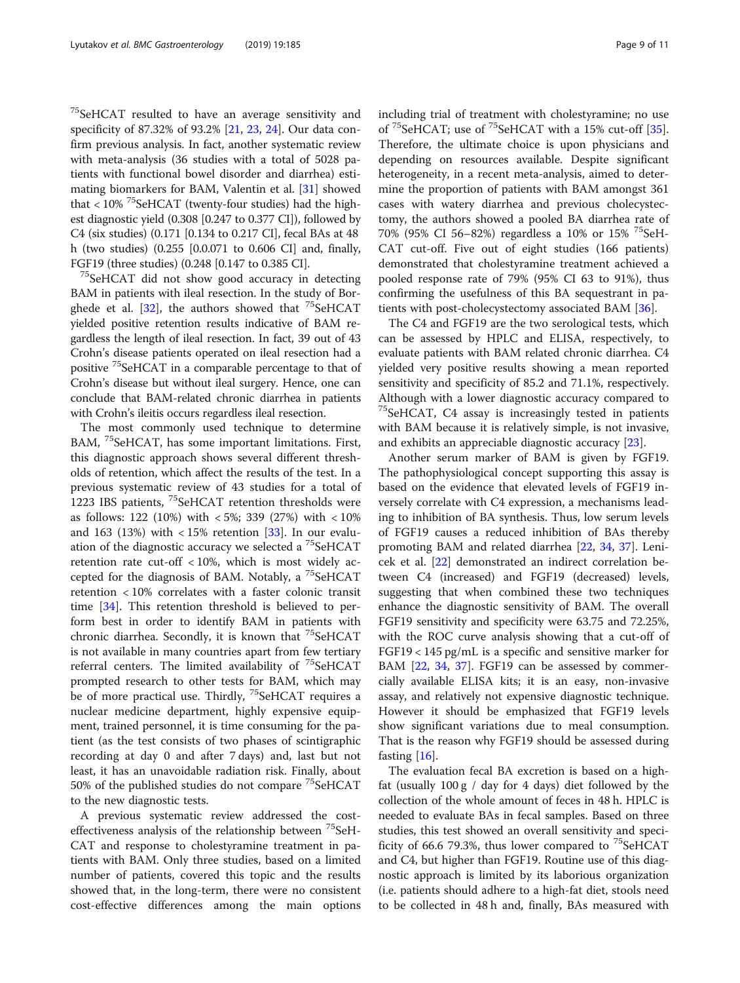<sup>75</sup>SeHCAT resulted to have an average sensitivity and specificity of 87.32% of 93.2% [[21,](#page-10-0) [23,](#page-10-0) [24\]](#page-10-0). Our data confirm previous analysis. In fact, another systematic review with meta-analysis (36 studies with a total of 5028 patients with functional bowel disorder and diarrhea) estimating biomarkers for BAM, Valentin et al. [[31](#page-10-0)] showed that <  $10\%$  <sup>75</sup>SeHCAT (twenty-four studies) had the highest diagnostic yield (0.308 [0.247 to 0.377 CI]), followed by C4 (six studies) (0.171 [0.134 to 0.217 CI], fecal BAs at 48 h (two studies) (0.255 [0.0.071 to 0.606 CI] and, finally, FGF19 (three studies) (0.248 [0.147 to 0.385 CI].<br><sup>75</sup>SeHCAT did not show good accuracy in detecting

BAM in patients with ileal resection. In the study of Borghede et al.  $[32]$  $[32]$  $[32]$ , the authors showed that <sup>75</sup>SeHCAT yielded positive retention results indicative of BAM regardless the length of ileal resection. In fact, 39 out of 43 Crohn's disease patients operated on ileal resection had a positive <sup>75</sup>SeHCAT in a comparable percentage to that of Crohn's disease but without ileal surgery. Hence, one can conclude that BAM-related chronic diarrhea in patients with Crohn's ileitis occurs regardless ileal resection.

The most commonly used technique to determine BAM, <sup>75</sup>SeHCAT, has some important limitations. First, this diagnostic approach shows several different thresholds of retention, which affect the results of the test. In a previous systematic review of 43 studies for a total of 1223 IBS patients, <sup>75</sup>SeHCAT retention thresholds were as follows: 122 (10%) with < 5%; 339 (27%) with < 10% and 163 (13%) with  $<$  15% retention [[33\]](#page-10-0). In our evaluation of the diagnostic accuracy we selected a  $^{75}$ SeHCAT retention rate cut-off < 10%, which is most widely accepted for the diagnosis of BAM. Notably, a  $^{75}$ SeHCAT retention < 10% correlates with a faster colonic transit time [[34\]](#page-10-0). This retention threshold is believed to perform best in order to identify BAM in patients with chronic diarrhea. Secondly, it is known that <sup>75</sup>SeHCAT is not available in many countries apart from few tertiary referral centers. The limited availability of  $75$ SeHCAT prompted research to other tests for BAM, which may be of more practical use. Thirdly, <sup>75</sup>SeHCAT requires a nuclear medicine department, highly expensive equipment, trained personnel, it is time consuming for the patient (as the test consists of two phases of scintigraphic recording at day 0 and after 7 days) and, last but not least, it has an unavoidable radiation risk. Finally, about 50% of the published studies do not compare <sup>75</sup>SeHCAT to the new diagnostic tests.

A previous systematic review addressed the costeffectiveness analysis of the relationship between  $^{75}$ SeH-CAT and response to cholestyramine treatment in patients with BAM. Only three studies, based on a limited number of patients, covered this topic and the results showed that, in the long-term, there were no consistent cost-effective differences among the main options including trial of treatment with cholestyramine; no use of <sup>75</sup>SeHCAT; use of <sup>75</sup>SeHCAT with a 15% cut-off [\[35](#page-10-0)]. Therefore, the ultimate choice is upon physicians and depending on resources available. Despite significant heterogeneity, in a recent meta-analysis, aimed to determine the proportion of patients with BAM amongst 361 cases with watery diarrhea and previous cholecystectomy, the authors showed a pooled BA diarrhea rate of 70% (95% CI 56–82%) regardless a 10% or 15% <sup>75</sup>SeH-CAT cut-off. Five out of eight studies (166 patients) demonstrated that cholestyramine treatment achieved a pooled response rate of 79% (95% CI 63 to 91%), thus confirming the usefulness of this BA sequestrant in patients with post-cholecystectomy associated BAM [\[36\]](#page-10-0).

The C4 and FGF19 are the two serological tests, which can be assessed by HPLC and ELISA, respectively, to evaluate patients with BAM related chronic diarrhea. C4 yielded very positive results showing a mean reported sensitivity and specificity of 85.2 and 71.1%, respectively. Although with a lower diagnostic accuracy compared to 75SeHCAT, C4 assay is increasingly tested in patients with BAM because it is relatively simple, is not invasive, and exhibits an appreciable diagnostic accuracy [\[23\]](#page-10-0).

Another serum marker of BAM is given by FGF19. The pathophysiological concept supporting this assay is based on the evidence that elevated levels of FGF19 inversely correlate with C4 expression, a mechanisms leading to inhibition of BA synthesis. Thus, low serum levels of FGF19 causes a reduced inhibition of BAs thereby promoting BAM and related diarrhea [\[22](#page-10-0), [34,](#page-10-0) [37](#page-10-0)]. Lenicek et al. [\[22](#page-10-0)] demonstrated an indirect correlation between C4 (increased) and FGF19 (decreased) levels, suggesting that when combined these two techniques enhance the diagnostic sensitivity of BAM. The overall FGF19 sensitivity and specificity were 63.75 and 72.25%, with the ROC curve analysis showing that a cut-off of FGF19 < 145 pg/mL is a specific and sensitive marker for BAM [\[22,](#page-10-0) [34](#page-10-0), [37](#page-10-0)]. FGF19 can be assessed by commercially available ELISA kits; it is an easy, non-invasive assay, and relatively not expensive diagnostic technique. However it should be emphasized that FGF19 levels show significant variations due to meal consumption. That is the reason why FGF19 should be assessed during fasting  $[16]$  $[16]$ .

The evaluation fecal BA excretion is based on a highfat (usually 100 g / day for 4 days) diet followed by the collection of the whole amount of feces in 48 h. HPLC is needed to evaluate BAs in fecal samples. Based on three studies, this test showed an overall sensitivity and specificity of 66.6 79.3%, thus lower compared to  $75$ SeHCAT and C4, but higher than FGF19. Routine use of this diagnostic approach is limited by its laborious organization (i.e. patients should adhere to a high-fat diet, stools need to be collected in 48 h and, finally, BAs measured with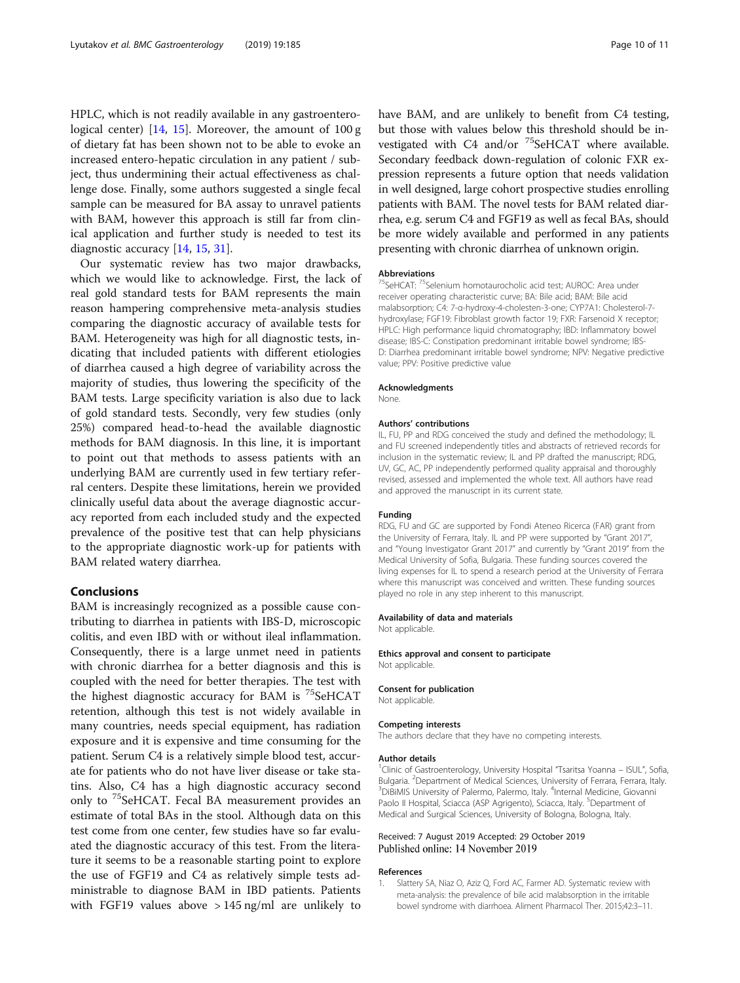# <span id="page-9-0"></span>HPLC, which is not readily available in any gastroenterological center) [[14,](#page-10-0) [15\]](#page-10-0). Moreover, the amount of 100 g of dietary fat has been shown not to be able to evoke an increased entero-hepatic circulation in any patient / subject, thus undermining their actual effectiveness as challenge dose. Finally, some authors suggested a single fecal sample can be measured for BA assay to unravel patients with BAM, however this approach is still far from clinical application and further study is needed to test its diagnostic accuracy [\[14](#page-10-0), [15](#page-10-0), [31](#page-10-0)].

Our systematic review has two major drawbacks, which we would like to acknowledge. First, the lack of real gold standard tests for BAM represents the main reason hampering comprehensive meta-analysis studies comparing the diagnostic accuracy of available tests for BAM. Heterogeneity was high for all diagnostic tests, indicating that included patients with different etiologies of diarrhea caused a high degree of variability across the majority of studies, thus lowering the specificity of the BAM tests. Large specificity variation is also due to lack of gold standard tests. Secondly, very few studies (only 25%) compared head-to-head the available diagnostic methods for BAM diagnosis. In this line, it is important to point out that methods to assess patients with an underlying BAM are currently used in few tertiary referral centers. Despite these limitations, herein we provided clinically useful data about the average diagnostic accuracy reported from each included study and the expected prevalence of the positive test that can help physicians to the appropriate diagnostic work-up for patients with BAM related watery diarrhea.

# Conclusions

BAM is increasingly recognized as a possible cause contributing to diarrhea in patients with IBS-D, microscopic colitis, and even IBD with or without ileal inflammation. Consequently, there is a large unmet need in patients with chronic diarrhea for a better diagnosis and this is coupled with the need for better therapies. The test with the highest diagnostic accuracy for BAM is <sup>75</sup>SeHCAT retention, although this test is not widely available in many countries, needs special equipment, has radiation exposure and it is expensive and time consuming for the patient. Serum C4 is a relatively simple blood test, accurate for patients who do not have liver disease or take statins. Also, C4 has a high diagnostic accuracy second only to <sup>75</sup>SeHCAT. Fecal BA measurement provides an estimate of total BAs in the stool. Although data on this test come from one center, few studies have so far evaluated the diagnostic accuracy of this test. From the literature it seems to be a reasonable starting point to explore the use of FGF19 and C4 as relatively simple tests administrable to diagnose BAM in IBD patients. Patients with FGF19 values above  $> 145$  ng/ml are unlikely to have BAM, and are unlikely to benefit from C4 testing, but those with values below this threshold should be investigated with C4 and/or <sup>75</sup>SeHCAT where available. Secondary feedback down-regulation of colonic FXR expression represents a future option that needs validation in well designed, large cohort prospective studies enrolling patients with BAM. The novel tests for BAM related diarrhea, e.g. serum C4 and FGF19 as well as fecal BAs, should be more widely available and performed in any patients presenting with chronic diarrhea of unknown origin.

#### Abbreviations

<sup>75</sup>SeHCAT: <sup>75</sup>Selenium homotaurocholic acid test; AUROC: Area under receiver operating characteristic curve; BA: Bile acid; BAM: Bile acid malabsorption; C4: 7-α-hydroxy-4-cholesten-3-one; CYP7A1: Cholesterol-7 hydroxylase; FGF19: Fibroblast growth factor 19: FXR: Farsenoid X receptor: HPLC: High performance liquid chromatography; IBD: Inflammatory bowel disease; IBS-C: Constipation predominant irritable bowel syndrome; IBS-D: Diarrhea predominant irritable bowel syndrome; NPV: Negative predictive value; PPV: Positive predictive value

#### Acknowledgments

None.

### Authors' contributions

IL, FU, PP and RDG conceived the study and defined the methodology; IL and FU screened independently titles and abstracts of retrieved records for inclusion in the systematic review; IL and PP drafted the manuscript; RDG, UV, GC, AC, PP independently performed quality appraisal and thoroughly revised, assessed and implemented the whole text. All authors have read and approved the manuscript in its current state.

### Funding

RDG, FU and GC are supported by Fondi Ateneo Ricerca (FAR) grant from the University of Ferrara, Italy. IL and PP were supported by "Grant 2017", and "Young Investigator Grant 2017" and currently by "Grant 2019" from the Medical University of Sofia, Bulgaria. These funding sources covered the living expenses for IL to spend a research period at the University of Ferrara where this manuscript was conceived and written. These funding sources played no role in any step inherent to this manuscript.

### Availability of data and materials

Not applicable.

Ethics approval and consent to participate Not applicable.

#### Consent for publication

Not applicable.

### Competing interests

The authors declare that they have no competing interests.

#### Author details

<sup>1</sup>Clinic of Gastroenterology, University Hospital "Tsaritsa Yoanna - ISUL", Sofia, Bulgaria. <sup>2</sup> Department of Medical Sciences, University of Ferrara, Ferrara, Italy.<br><sup>3</sup> DiBiMIS University of Palermo, Palermo, Italy. <sup>4</sup> Internal Medicine. Giovanni DiBiMIS University of Palermo, Palermo, Italy. <sup>4</sup>Internal Medicine, Giovanni Paolo II Hospital, Sciacca (ASP Agrigento), Sciacca, Italy. <sup>5</sup>Department of Medical and Surgical Sciences, University of Bologna, Bologna, Italy.

### Received: 7 August 2019 Accepted: 29 October 2019 Published online: 14 November 2019

#### References

1. Slattery SA, Niaz O, Aziz Q, Ford AC, Farmer AD. Systematic review with meta-analysis: the prevalence of bile acid malabsorption in the irritable bowel syndrome with diarrhoea. Aliment Pharmacol Ther. 2015;42:3–11.